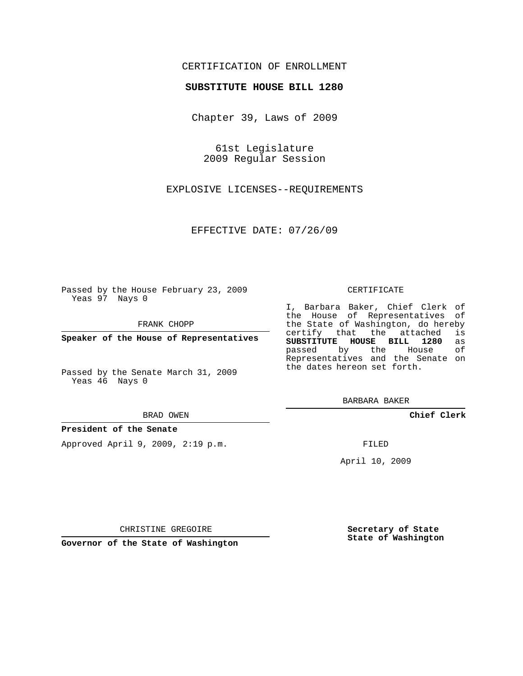# CERTIFICATION OF ENROLLMENT

## **SUBSTITUTE HOUSE BILL 1280**

Chapter 39, Laws of 2009

61st Legislature 2009 Regular Session

EXPLOSIVE LICENSES--REQUIREMENTS

EFFECTIVE DATE: 07/26/09

Passed by the House February 23, 2009 Yeas 97 Nays 0

FRANK CHOPP

**Speaker of the House of Representatives**

Passed by the Senate March 31, 2009 Yeas 46 Nays 0

#### BRAD OWEN

### **President of the Senate**

Approved April 9, 2009, 2:19 p.m.

#### CERTIFICATE

I, Barbara Baker, Chief Clerk of the House of Representatives of the State of Washington, do hereby<br>certify that the attached is certify that the attached **SUBSTITUTE HOUSE BILL 1280** as passed by the Representatives and the Senate on the dates hereon set forth.

BARBARA BAKER

**Chief Clerk**

FILED

April 10, 2009

CHRISTINE GREGOIRE

**Governor of the State of Washington**

**Secretary of State State of Washington**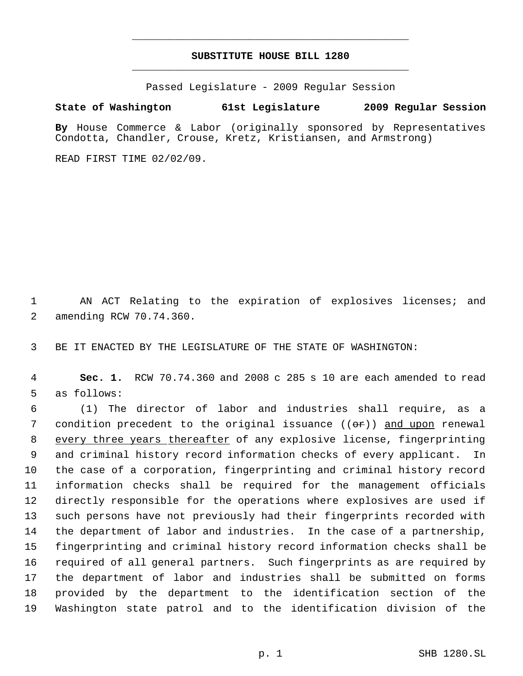# **SUBSTITUTE HOUSE BILL 1280** \_\_\_\_\_\_\_\_\_\_\_\_\_\_\_\_\_\_\_\_\_\_\_\_\_\_\_\_\_\_\_\_\_\_\_\_\_\_\_\_\_\_\_\_\_

\_\_\_\_\_\_\_\_\_\_\_\_\_\_\_\_\_\_\_\_\_\_\_\_\_\_\_\_\_\_\_\_\_\_\_\_\_\_\_\_\_\_\_\_\_

Passed Legislature - 2009 Regular Session

# **State of Washington 61st Legislature 2009 Regular Session**

**By** House Commerce & Labor (originally sponsored by Representatives Condotta, Chandler, Crouse, Kretz, Kristiansen, and Armstrong)

READ FIRST TIME 02/02/09.

 AN ACT Relating to the expiration of explosives licenses; and amending RCW 70.74.360.

BE IT ENACTED BY THE LEGISLATURE OF THE STATE OF WASHINGTON:

 **Sec. 1.** RCW 70.74.360 and 2008 c 285 s 10 are each amended to read as follows:

 (1) The director of labor and industries shall require, as a 7 condition precedent to the original issuance  $((\theta \cdot \hat{r}))$  and upon renewal 8 every three years thereafter of any explosive license, fingerprinting and criminal history record information checks of every applicant. In the case of a corporation, fingerprinting and criminal history record information checks shall be required for the management officials directly responsible for the operations where explosives are used if such persons have not previously had their fingerprints recorded with the department of labor and industries. In the case of a partnership, fingerprinting and criminal history record information checks shall be required of all general partners. Such fingerprints as are required by the department of labor and industries shall be submitted on forms provided by the department to the identification section of the Washington state patrol and to the identification division of the